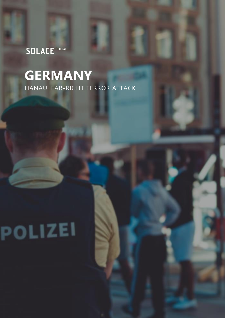# **SOLACE** GLOBAL

# **GERMANY** HANAU: FAR-RIGHT TERROR ATTACK

# POLIZEI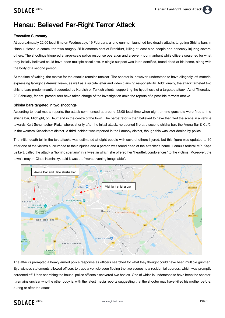## Hanau: Believed Far-Right Terror Attack

#### Executive Summary

At approximately 22:00 local time on Wednesday, 19 February, a lone gunman launched two deadly attacks targeting Shisha bars in Hanau, Hesse, a commuter town roughly 25 kilometres east of Frankfurt, killing at least nine people and seriously injuring several others. The shootings triggered a large-scale police response operation and a seven-hour manhunt while officers searched for what they initially believed could have been multiple assailants. A single suspect was later identified, found dead at his home, along with the body of a second person.

At the time of writing, the motive for the attacks remains unclear. The shooter is, however, understood to have allegedly left material expressing far-right extremist views, as well as a suicide letter and video claiming responsibility. Additionally, the attack targeted two shisha bars predominantly frequented by Kurdish or Turkish clients, supporting the hypothesis of a targeted attack. As of Thursday, 20 February, federal prosecutors have taken charge of the investigation amid the reports of a possible terrorist motive.

#### Shisha bars targeted in two shootings

According to local media reports, the attack commenced at around 22:00 local time when eight or nine gunshots were fired at the shisha bar, Midnight, on Heumarkt in the centre of the town. The perpetrator is then believed to have then fled the scene in a vehicle towards Kurt-Schumacher-Platz, where, shortly after the initial attack, he opened fire at a second shisha bar, the Arena Bar & Café, in the western Kesselstadt district. A third incident was reported in the Lamboy district, though this was later denied by police.

The initial death toll in the two attacks was estimated at eight people with several others injured, but this figure was updated to 10 after one of the victims succumbed to their injuries and a person was found dead at the attacker's home. Hanau's federal MP, Katja Leikert, called the attack a "horrific scenario" in a tweet in which she offered her "heartfelt condolences" to the victims. Moreover, the town's mayor, Claus Kaminsky, said it was the "worst evening imaginable".



The attacks prompted a heavy armed police response as officers searched for what they thought could have been multiple gunmen. Eye-witness statements allowed officers to trace a vehicle seen fleeing the two scenes to a residential address, which was promptly cordoned off. Upon searching the house, police officers discovered two bodies. One of which is understood to have been the shooter. It remains unclear who the other body is, with the latest media reports suggesting that the shooter may have killed his mother before, during or after the attack.

### **SOLACE GLOBAL**